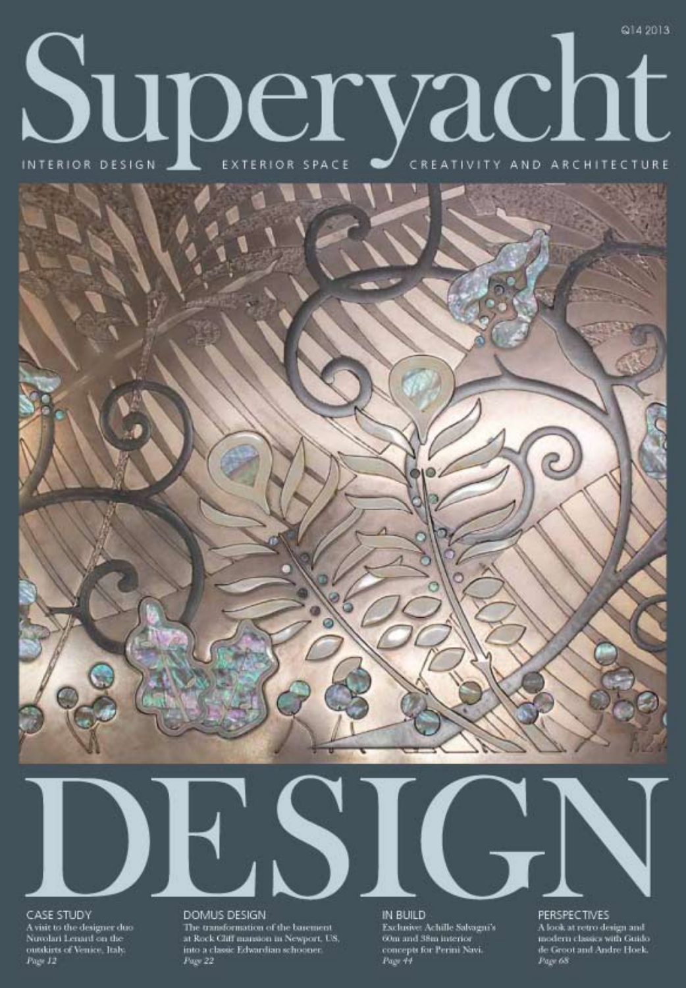## @14 2013 Superversion PEXTERIOR SPACE DE CREATIVITY AND ARCHITECTURE



CASE STUDY A visit to the designer duo-Nuvolari Lenard on the outskirts of Venice, Italy.<br>Page 12

DOMUS DESIGN

The transformation of the barement at Rock Cliff mansion in Newport, US, into a classic Edwardian schooner. Page 22



PERSPECTIVES

A look at retro design and modern classics with Guido de Groot and Andre Hoek.<br>Page 68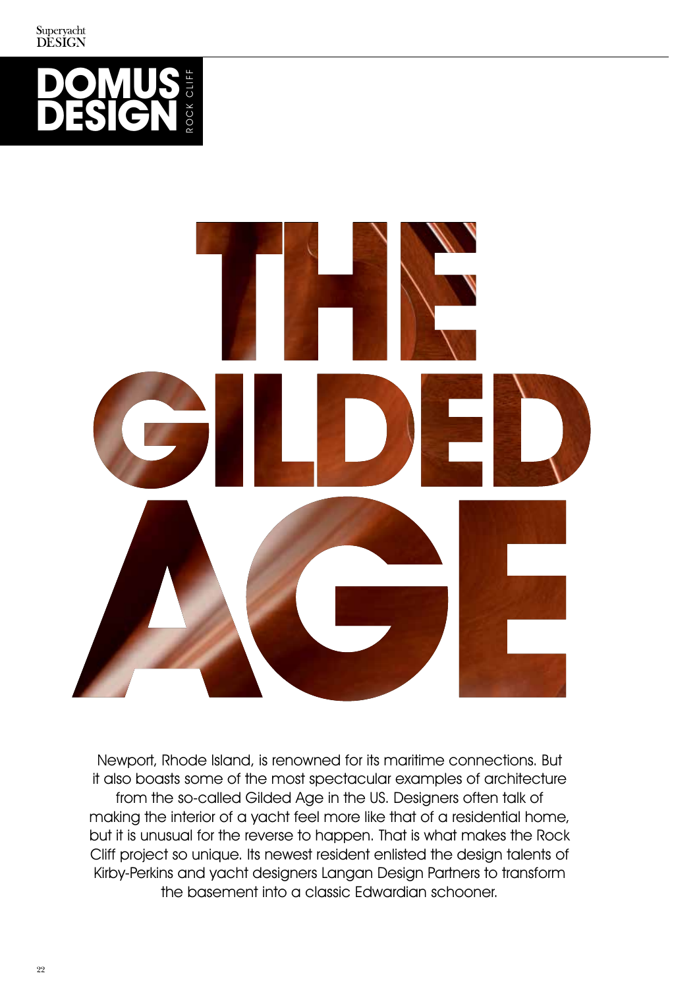



Newport, Rhode Island, is renowned for its maritime connections. But it also boasts some of the most spectacular examples of architecture from the so-called Gilded Age in the US. Designers often talk of making the interior of a yacht feel more like that of a residential home, but it is unusual for the reverse to happen. That is what makes the Rock Cliff project so unique. Its newest resident enlisted the design talents of Kirby-Perkins and yacht designers Langan Design Partners to transform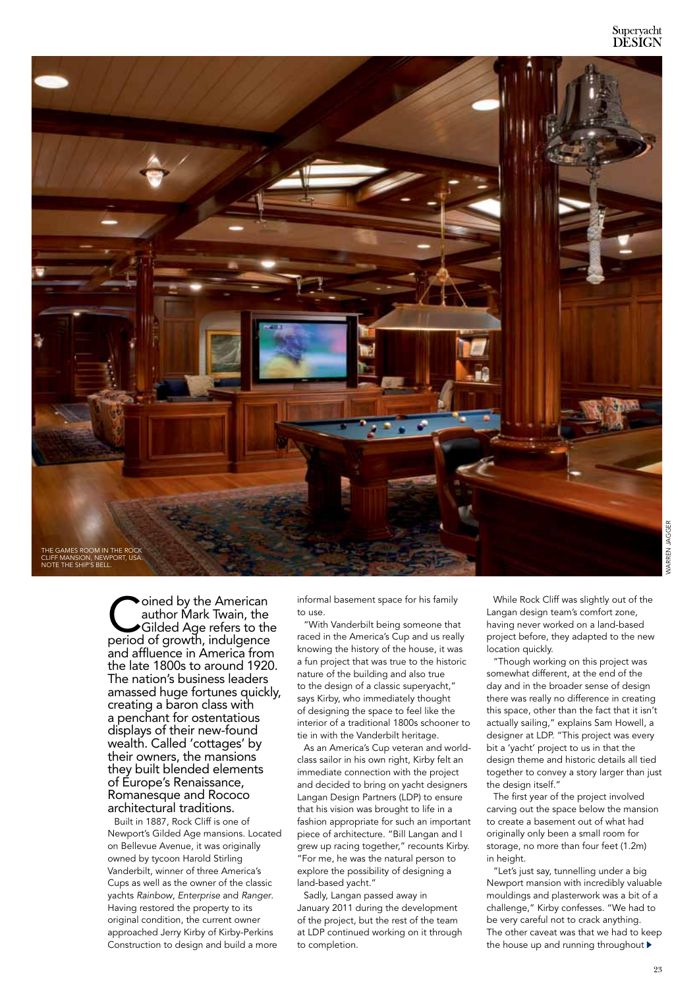

Coined by the American<br>author Mark Twain, the<br>Gilded Age refers to the<br>period of growth indulgance author Mark Twain, the Gilded Age refers to the period of growth, indulgence and affluence in America from the late 1800s to around 1920. The nation's business leaders amassed huge fortunes quickly, creating a baron class with a penchant for ostentatious displays of their new-found wealth. Called 'cottages' by their owners, the mansions they built blended elements of Europe's Renaissance, Romanesque and Rococo architectural traditions.

Built in 1887, Rock Cliff is one of Newport's Gilded Age mansions. Located on Bellevue Avenue, it was originally owned by tycoon Harold Stirling Vanderbilt, winner of three America's Cups as well as the owner of the classic yachts *Rainbow*, *Enterprise* and *Ranger*. Having restored the property to its original condition, the current owner approached Jerry Kirby of Kirby-Perkins Construction to design and build a more

informal basement space for his family to use.

"With Vanderbilt being someone that raced in the America's Cup and us really knowing the history of the house, it was a fun project that was true to the historic nature of the building and also true to the design of a classic superyacht," says Kirby, who immediately thought of designing the space to feel like the interior of a traditional 1800s schooner to tie in with the Vanderbilt heritage.

As an America's Cup veteran and worldclass sailor in his own right, Kirby felt an immediate connection with the project and decided to bring on yacht designers Langan Design Partners (LDP) to ensure that his vision was brought to life in a fashion appropriate for such an important piece of architecture. "Bill Langan and I grew up racing together," recounts Kirby. "For me, he was the natural person to explore the possibility of designing a land-based yacht."

Sadly, Langan passed away in January 2011 during the development of the project, but the rest of the team at LDP continued working on it through to completion.

While Rock Cliff was slightly out of the Langan design team's comfort zone, having never worked on a land-based project before, they adapted to the new location quickly.

"Though working on this project was somewhat different, at the end of the day and in the broader sense of design there was really no difference in creating this space, other than the fact that it isn't actually sailing," explains Sam Howell, a designer at LDP. "This project was every bit a 'yacht' project to us in that the design theme and historic details all tied together to convey a story larger than just the design itself."

The first year of the project involved carving out the space below the mansion to create a basement out of what had originally only been a small room for storage, no more than four feet (1.2m) in height.

"Let's just say, tunnelling under a big Newport mansion with incredibly valuable mouldings and plasterwork was a bit of a challenge," Kirby confesses. "We had to be very careful not to crack anything. The other caveat was that we had to keep the house up and running throughout  $\blacktriangleright$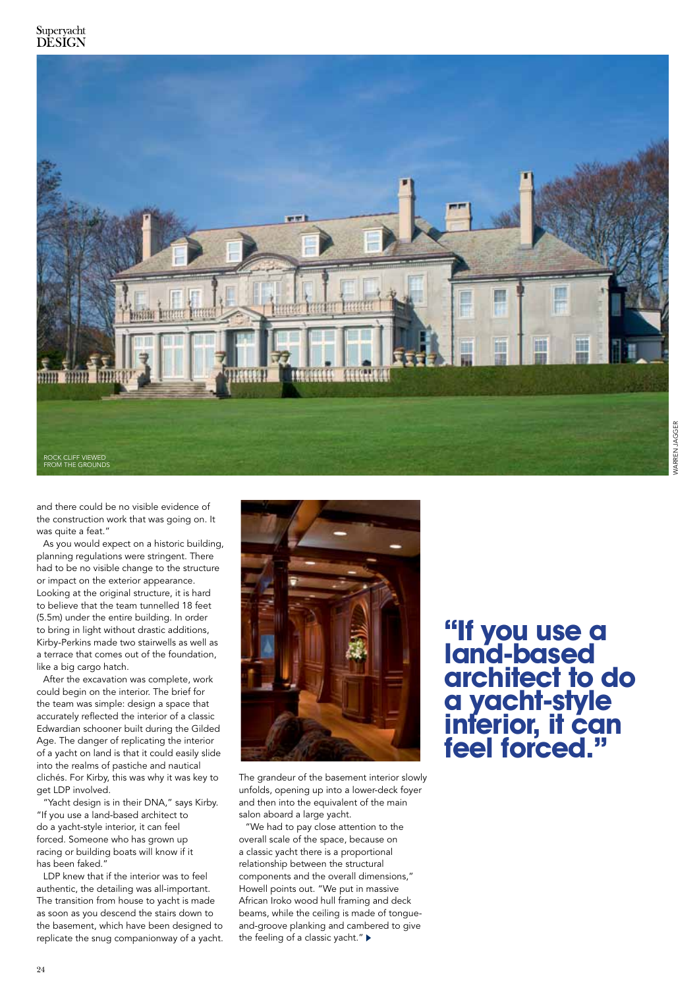

and there could be no visible evidence of the construction work that was going on. It was quite a feat."

As you would expect on a historic building, planning regulations were stringent. There had to be no visible change to the structure or impact on the exterior appearance. Looking at the original structure, it is hard to believe that the team tunnelled 18 feet (5.5m) under the entire building. In order to bring in light without drastic additions, Kirby-Perkins made two stairwells as well as a terrace that comes out of the foundation, like a big cargo hatch.

After the excavation was complete, work could begin on the interior. The brief for the team was simple: design a space that accurately reflected the interior of a classic Edwardian schooner built during the Gilded Age. The danger of replicating the interior of a yacht on land is that it could easily slide into the realms of pastiche and nautical clichés. For Kirby, this was why it was key to get LDP involved.

"Yacht design is in their DNA," says Kirby. "If you use a land-based architect to do a yacht-style interior, it can feel forced. Someone who has grown up racing or building boats will know if it has been faked."

LDP knew that if the interior was to feel authentic, the detailing was all-important. The transition from house to yacht is made as soon as you descend the stairs down to the basement, which have been designed to replicate the snug companionway of a yacht.



The grandeur of the basement interior slowly unfolds, opening up into a lower-deck foyer and then into the equivalent of the main salon aboard a large yacht.

"We had to pay close attention to the overall scale of the space, because on a classic yacht there is a proportional relationship between the structural components and the overall dimensions," Howell points out. "We put in massive African Iroko wood hull framing and deck beams, while the ceiling is made of tongueand-groove planking and cambered to give the feeling of a classic yacht."

**"If you use a land-based architect to do a yacht-style interior, it can feel forced."**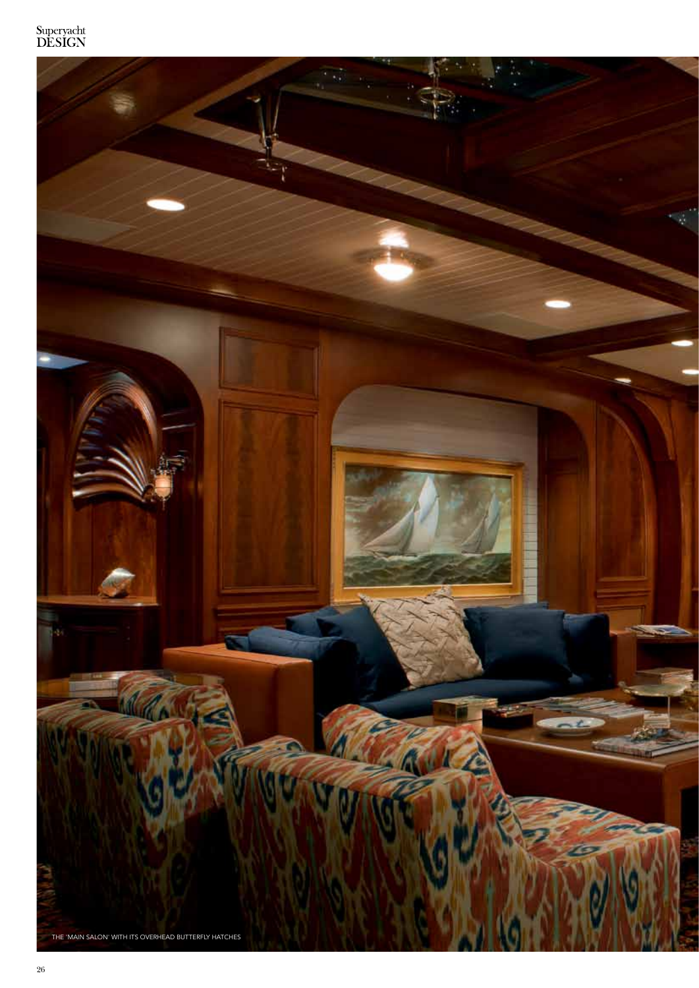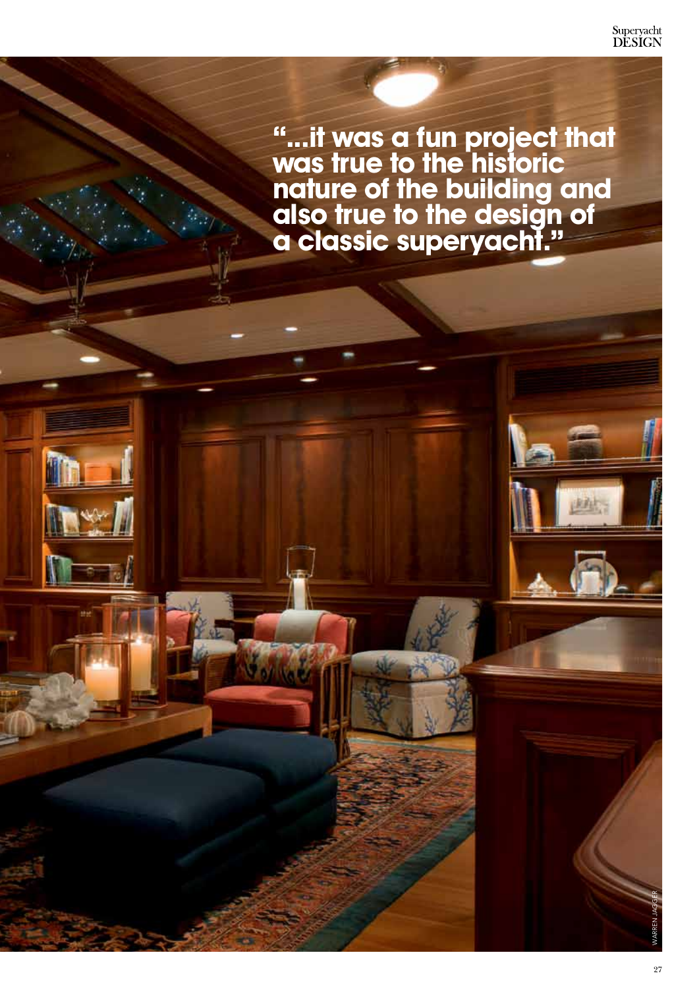**"...it was a fun project that was true to the historic nature of the building and also true to the design of a classic superyacht."** 

WARREN JAGGER